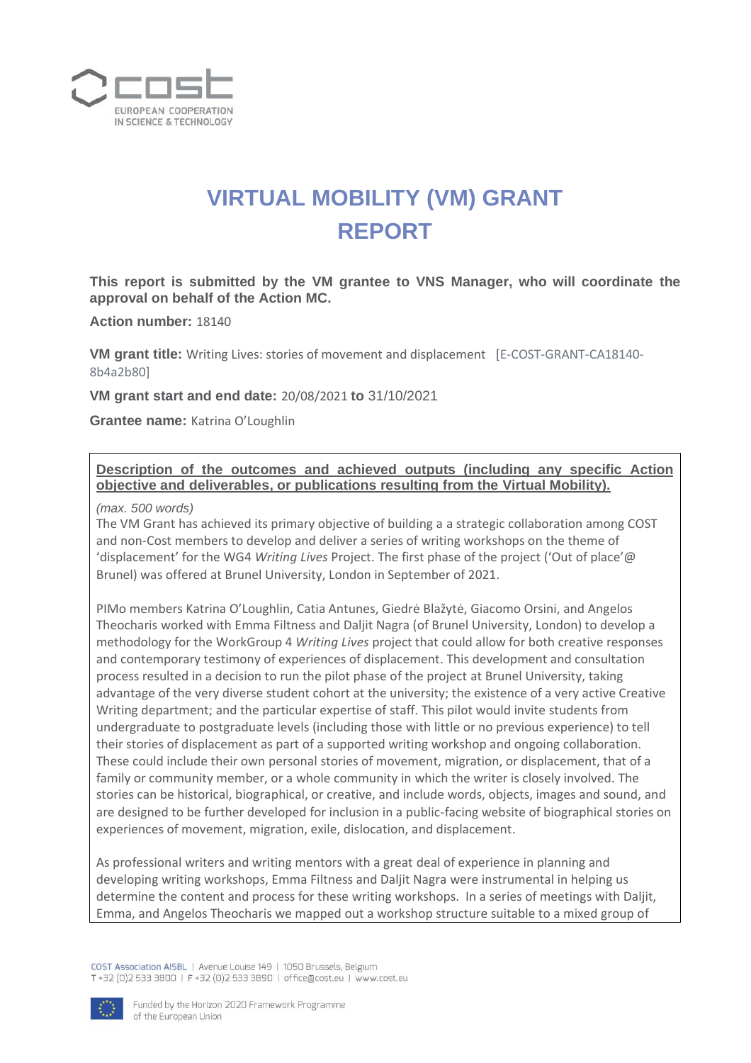

# **VIRTUAL MOBILITY (VM) GRANT REPORT**

**This report is submitted by the VM grantee to VNS Manager, who will coordinate the approval on behalf of the Action MC.**

**Action number:** 18140

**VM grant title:** Writing Lives: stories of movement and displacement [E-COST-GRANT-CA18140- 8b4a2b80]

**VM grant start and end date:** 20/08/2021 **to** 31/10/2021

**Grantee name:** Katrina O'Loughlin

### **Description of the outcomes and achieved outputs (including any specific Action objective and deliverables, or publications resulting from the Virtual Mobility).**

*(max. 500 words)* 

The VM Grant has achieved its primary objective of building a a strategic collaboration among COST and non-Cost members to develop and deliver a series of writing workshops on the theme of 'displacement' for the WG4 *Writing Lives* Project. The first phase of the project ('Out of place'@ Brunel) was offered at Brunel University, London in September of 2021.

PIMo members Katrina O'Loughlin, Catia Antunes, Giedrė Blažytė, Giacomo Orsini, and Angelos Theocharis worked with Emma Filtness and Daljit Nagra (of Brunel University, London) to develop a methodology for the WorkGroup 4 *Writing Lives* project that could allow for both creative responses and contemporary testimony of experiences of displacement. This development and consultation process resulted in a decision to run the pilot phase of the project at Brunel University, taking advantage of the very diverse student cohort at the university; the existence of a very active Creative Writing department; and the particular expertise of staff. This pilot would invite students from undergraduate to postgraduate levels (including those with little or no previous experience) to tell their stories of displacement as part of a supported writing workshop and ongoing collaboration. These could include their own personal stories of movement, migration, or displacement, that of a family or community member, or a whole community in which the writer is closely involved. The stories can be historical, biographical, or creative, and include words, objects, images and sound, and are designed to be further developed for inclusion in a public-facing website of biographical stories on experiences of movement, migration, exile, dislocation, and displacement.

As professional writers and writing mentors with a great deal of experience in planning and developing writing workshops, Emma Filtness and Daljit Nagra were instrumental in helping us determine the content and process for these writing workshops. In a series of meetings with Daljit, Emma, and Angelos Theocharis we mapped out a workshop structure suitable to a mixed group of

COST Association AISBL | Avenue Louise 149 | 1050 Brussels, Belgium T+32 (0)2 533 3800 | F+32 (0)2 533 3890 | office@cost.eu | www.cost.eu

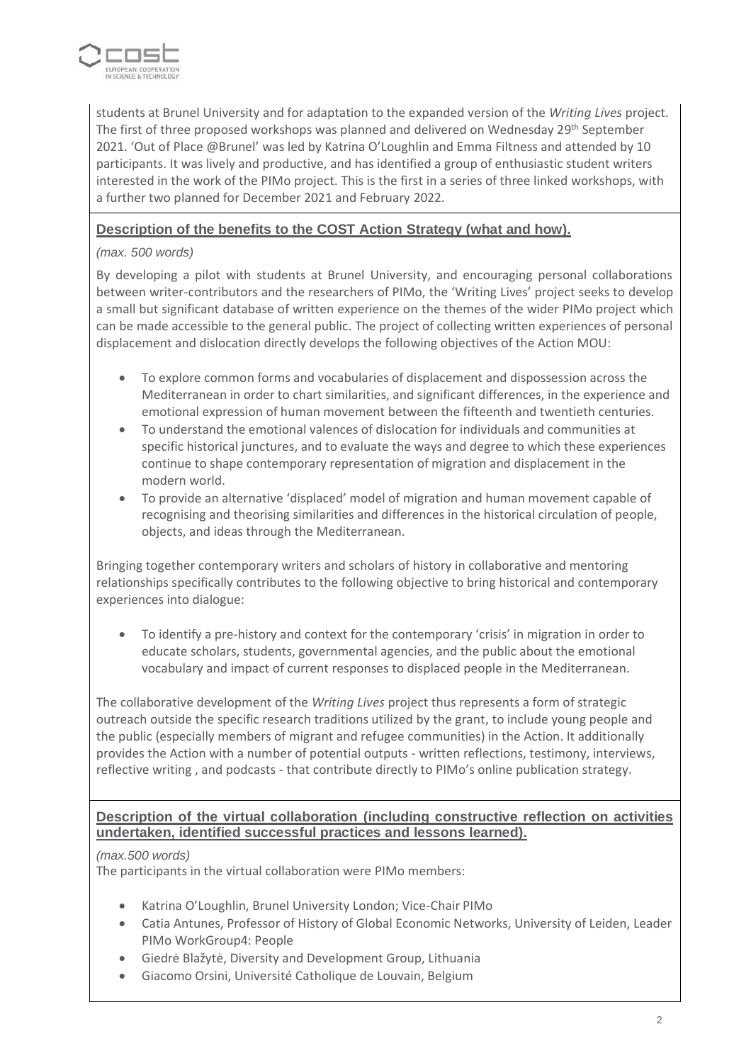

students at Brunel University and for adaptation to the expanded version of the *Writing Lives* project. The first of three proposed workshops was planned and delivered on Wednesday 29<sup>th</sup> September 2021. 'Out of Place @Brunel' was led by Katrina O'Loughlin and Emma Filtness and attended by 10 participants. It was lively and productive, and has identified a group of enthusiastic student writers interested in the work of the PIMo project. This is the first in a series of three linked workshops, with a further two planned for December 2021 and February 2022.

## **Description of the benefits to the COST Action Strategy (what and how).**

#### *(max. 500 words)*

By developing a pilot with students at Brunel University, and encouraging personal collaborations between writer-contributors and the researchers of PIMo, the 'Writing Lives' project seeks to develop a small but significant database of written experience on the themes of the wider PIMo project which can be made accessible to the general public. The project of collecting written experiences of personal displacement and dislocation directly develops the following objectives of the Action MOU:

- To explore common forms and vocabularies of displacement and dispossession across the Mediterranean in order to chart similarities, and significant differences, in the experience and emotional expression of human movement between the fifteenth and twentieth centuries.
- To understand the emotional valences of dislocation for individuals and communities at specific historical junctures, and to evaluate the ways and degree to which these experiences continue to shape contemporary representation of migration and displacement in the modern world.
- To provide an alternative 'displaced' model of migration and human movement capable of recognising and theorising similarities and differences in the historical circulation of people, objects, and ideas through the Mediterranean.

Bringing together contemporary writers and scholars of history in collaborative and mentoring relationships specifically contributes to the following objective to bring historical and contemporary experiences into dialogue:

• To identify a pre-history and context for the contemporary 'crisis' in migration in order to educate scholars, students, governmental agencies, and the public about the emotional vocabulary and impact of current responses to displaced people in the Mediterranean.

The collaborative development of the *Writing Lives* project thus represents a form of strategic outreach outside the specific research traditions utilized by the grant, to include young people and the public (especially members of migrant and refugee communities) in the Action. It additionally provides the Action with a number of potential outputs - written reflections, testimony, interviews, reflective writing , and podcasts - that contribute directly to PIMo's online publication strategy.

## **Description of the virtual collaboration (including constructive reflection on activities undertaken, identified successful practices and lessons learned).**

#### *(max.500 words)*

The participants in the virtual collaboration were PIMo members:

- Katrina O'Loughlin, Brunel University London; Vice-Chair PIMo
- Catia Antunes, Professor of History of Global Economic Networks, University of Leiden, Leader PIMo WorkGroup4: People
- Giedrė Blažytė, Diversity and Development Group, Lithuania
- Giacomo Orsini, Université Catholique de Louvain, Belgium